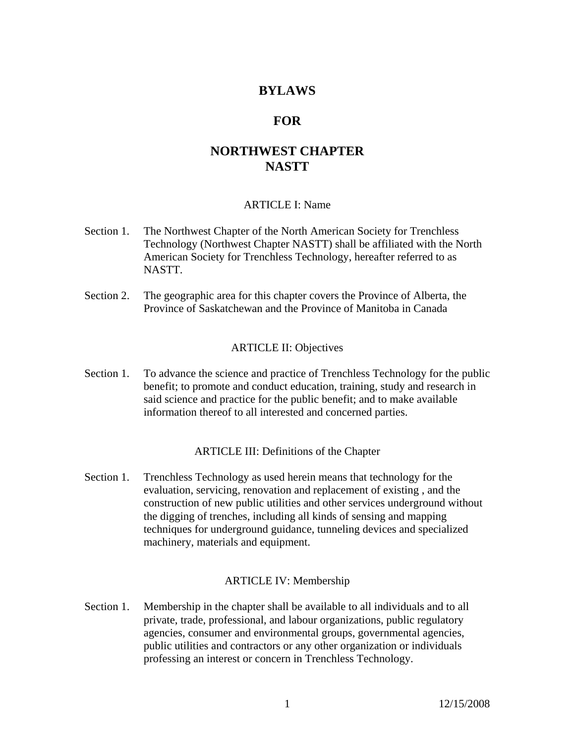# **BYLAWS**

# **FOR**

# **NORTHWEST CHAPTER NASTT**

#### ARTICLE I: Name

- Section 1. The Northwest Chapter of the North American Society for Trenchless Technology (Northwest Chapter NASTT) shall be affiliated with the North American Society for Trenchless Technology, hereafter referred to as NASTT.
- Section 2. The geographic area for this chapter covers the Province of Alberta, the Province of Saskatchewan and the Province of Manitoba in Canada

#### ARTICLE II: Objectives

Section 1. To advance the science and practice of Trenchless Technology for the public benefit; to promote and conduct education, training, study and research in said science and practice for the public benefit; and to make available information thereof to all interested and concerned parties.

#### ARTICLE III: Definitions of the Chapter

Section 1. Trenchless Technology as used herein means that technology for the evaluation, servicing, renovation and replacement of existing , and the construction of new public utilities and other services underground without the digging of trenches, including all kinds of sensing and mapping techniques for underground guidance, tunneling devices and specialized machinery, materials and equipment.

#### ARTICLE IV: Membership

Section 1. Membership in the chapter shall be available to all individuals and to all private, trade, professional, and labour organizations, public regulatory agencies, consumer and environmental groups, governmental agencies, public utilities and contractors or any other organization or individuals professing an interest or concern in Trenchless Technology.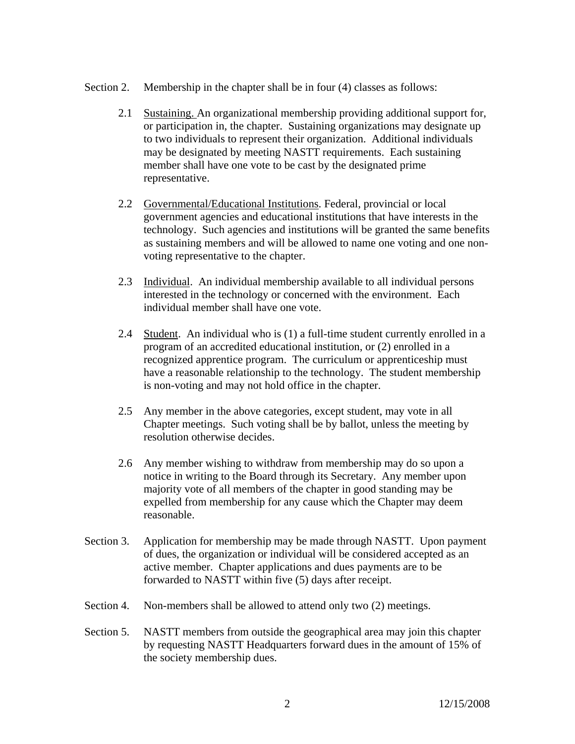- Section 2. Membership in the chapter shall be in four (4) classes as follows:
	- 2.1 Sustaining. An organizational membership providing additional support for, or participation in, the chapter. Sustaining organizations may designate up to two individuals to represent their organization. Additional individuals may be designated by meeting NASTT requirements. Each sustaining member shall have one vote to be cast by the designated prime representative.
	- 2.2 Governmental/Educational Institutions. Federal, provincial or local government agencies and educational institutions that have interests in the technology. Such agencies and institutions will be granted the same benefits as sustaining members and will be allowed to name one voting and one nonvoting representative to the chapter.
	- 2.3 Individual. An individual membership available to all individual persons interested in the technology or concerned with the environment. Each individual member shall have one vote.
	- 2.4 Student. An individual who is (1) a full-time student currently enrolled in a program of an accredited educational institution, or (2) enrolled in a recognized apprentice program. The curriculum or apprenticeship must have a reasonable relationship to the technology. The student membership is non-voting and may not hold office in the chapter.
	- 2.5 Any member in the above categories, except student, may vote in all Chapter meetings. Such voting shall be by ballot, unless the meeting by resolution otherwise decides.
	- 2.6 Any member wishing to withdraw from membership may do so upon a notice in writing to the Board through its Secretary. Any member upon majority vote of all members of the chapter in good standing may be expelled from membership for any cause which the Chapter may deem reasonable.
- Section 3. Application for membership may be made through NASTT. Upon payment of dues, the organization or individual will be considered accepted as an active member. Chapter applications and dues payments are to be forwarded to NASTT within five (5) days after receipt.
- Section 4. Non-members shall be allowed to attend only two (2) meetings.
- Section 5. NASTT members from outside the geographical area may join this chapter by requesting NASTT Headquarters forward dues in the amount of 15% of the society membership dues.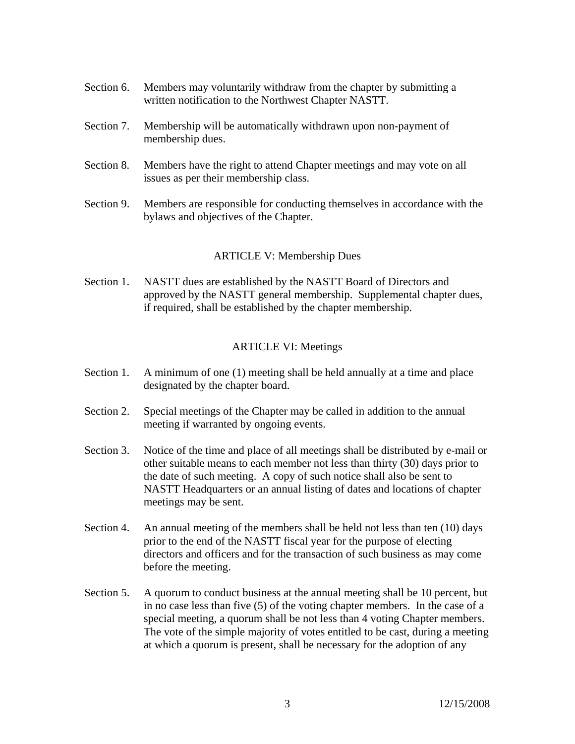- Section 6. Members may voluntarily withdraw from the chapter by submitting a written notification to the Northwest Chapter NASTT.
- Section 7. Membership will be automatically withdrawn upon non-payment of membership dues.
- Section 8. Members have the right to attend Chapter meetings and may vote on all issues as per their membership class.
- Section 9. Members are responsible for conducting themselves in accordance with the bylaws and objectives of the Chapter.

# ARTICLE V: Membership Dues

Section 1. NASTT dues are established by the NASTT Board of Directors and approved by the NASTT general membership. Supplemental chapter dues, if required, shall be established by the chapter membership.

# ARTICLE VI: Meetings

- Section 1. A minimum of one (1) meeting shall be held annually at a time and place designated by the chapter board.
- Section 2. Special meetings of the Chapter may be called in addition to the annual meeting if warranted by ongoing events.
- Section 3. Notice of the time and place of all meetings shall be distributed by e-mail or other suitable means to each member not less than thirty (30) days prior to the date of such meeting. A copy of such notice shall also be sent to NASTT Headquarters or an annual listing of dates and locations of chapter meetings may be sent.
- Section 4. An annual meeting of the members shall be held not less than ten (10) days prior to the end of the NASTT fiscal year for the purpose of electing directors and officers and for the transaction of such business as may come before the meeting.
- Section 5. A quorum to conduct business at the annual meeting shall be 10 percent, but in no case less than five (5) of the voting chapter members. In the case of a special meeting, a quorum shall be not less than 4 voting Chapter members. The vote of the simple majority of votes entitled to be cast, during a meeting at which a quorum is present, shall be necessary for the adoption of any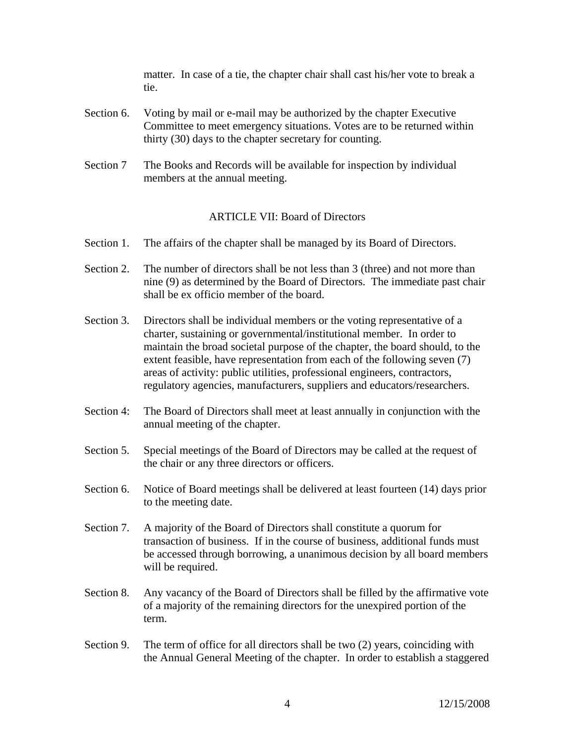matter. In case of a tie, the chapter chair shall cast his/her vote to break a tie.

- Section 6. Voting by mail or e-mail may be authorized by the chapter Executive Committee to meet emergency situations. Votes are to be returned within thirty (30) days to the chapter secretary for counting.
- Section 7 The Books and Records will be available for inspection by individual members at the annual meeting.

### ARTICLE VII: Board of Directors

- Section 1. The affairs of the chapter shall be managed by its Board of Directors.
- Section 2. The number of directors shall be not less than 3 (three) and not more than nine (9) as determined by the Board of Directors. The immediate past chair shall be ex officio member of the board.
- Section 3. Directors shall be individual members or the voting representative of a charter, sustaining or governmental/institutional member. In order to maintain the broad societal purpose of the chapter, the board should, to the extent feasible, have representation from each of the following seven (7) areas of activity: public utilities, professional engineers, contractors, regulatory agencies, manufacturers, suppliers and educators/researchers.
- Section 4: The Board of Directors shall meet at least annually in conjunction with the annual meeting of the chapter.
- Section 5. Special meetings of the Board of Directors may be called at the request of the chair or any three directors or officers.
- Section 6. Notice of Board meetings shall be delivered at least fourteen (14) days prior to the meeting date.
- Section 7. A majority of the Board of Directors shall constitute a quorum for transaction of business. If in the course of business, additional funds must be accessed through borrowing, a unanimous decision by all board members will be required.
- Section 8. Any vacancy of the Board of Directors shall be filled by the affirmative vote of a majority of the remaining directors for the unexpired portion of the term.
- Section 9. The term of office for all directors shall be two (2) years, coinciding with the Annual General Meeting of the chapter. In order to establish a staggered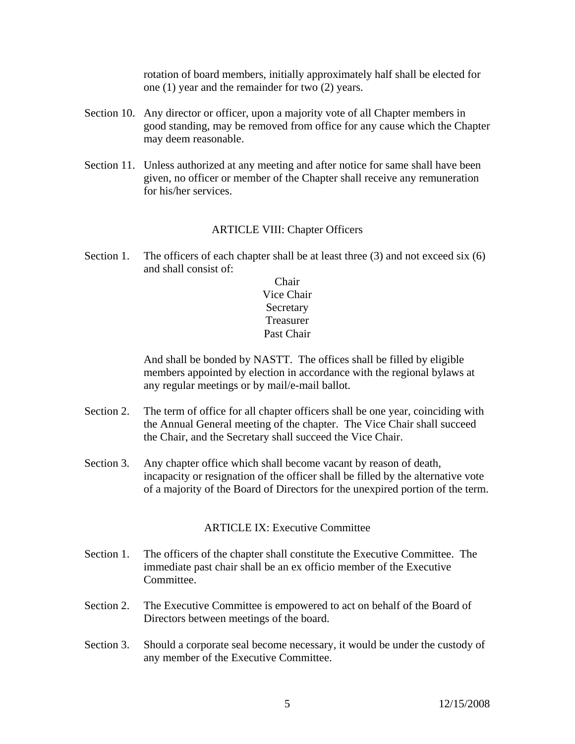rotation of board members, initially approximately half shall be elected for one (1) year and the remainder for two (2) years.

- Section 10. Any director or officer, upon a majority vote of all Chapter members in good standing, may be removed from office for any cause which the Chapter may deem reasonable.
- Section 11. Unless authorized at any meeting and after notice for same shall have been given, no officer or member of the Chapter shall receive any remuneration for his/her services.

# ARTICLE VIII: Chapter Officers

Section 1. The officers of each chapter shall be at least three (3) and not exceed six (6) and shall consist of:

> Chair Vice Chair **Secretary** Treasurer Past Chair

And shall be bonded by NASTT. The offices shall be filled by eligible members appointed by election in accordance with the regional bylaws at any regular meetings or by mail/e-mail ballot.

- Section 2. The term of office for all chapter officers shall be one year, coinciding with the Annual General meeting of the chapter. The Vice Chair shall succeed the Chair, and the Secretary shall succeed the Vice Chair.
- Section 3. Any chapter office which shall become vacant by reason of death, incapacity or resignation of the officer shall be filled by the alternative vote of a majority of the Board of Directors for the unexpired portion of the term.

### ARTICLE IX: Executive Committee

- Section 1. The officers of the chapter shall constitute the Executive Committee. The immediate past chair shall be an ex officio member of the Executive Committee.
- Section 2. The Executive Committee is empowered to act on behalf of the Board of Directors between meetings of the board.
- Section 3. Should a corporate seal become necessary, it would be under the custody of any member of the Executive Committee.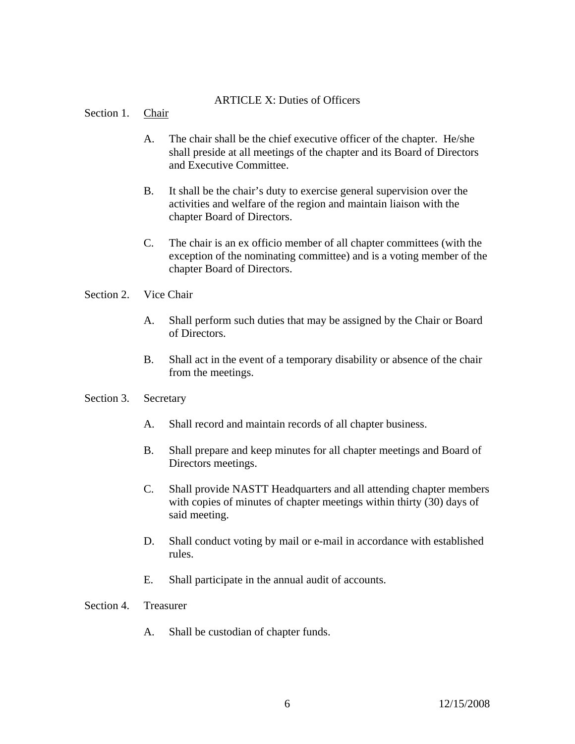### ARTICLE X: Duties of Officers

Section 1. Chair

- A. The chair shall be the chief executive officer of the chapter. He/she shall preside at all meetings of the chapter and its Board of Directors and Executive Committee.
- B. It shall be the chair's duty to exercise general supervision over the activities and welfare of the region and maintain liaison with the chapter Board of Directors.
- C. The chair is an ex officio member of all chapter committees (with the exception of the nominating committee) and is a voting member of the chapter Board of Directors.

#### Section 2. Vice Chair

- A. Shall perform such duties that may be assigned by the Chair or Board of Directors.
- B. Shall act in the event of a temporary disability or absence of the chair from the meetings.

#### Section 3. Secretary

- A. Shall record and maintain records of all chapter business.
- B. Shall prepare and keep minutes for all chapter meetings and Board of Directors meetings.
- C. Shall provide NASTT Headquarters and all attending chapter members with copies of minutes of chapter meetings within thirty (30) days of said meeting.
- D. Shall conduct voting by mail or e-mail in accordance with established rules.
- E. Shall participate in the annual audit of accounts.

Section 4. Treasurer

A. Shall be custodian of chapter funds.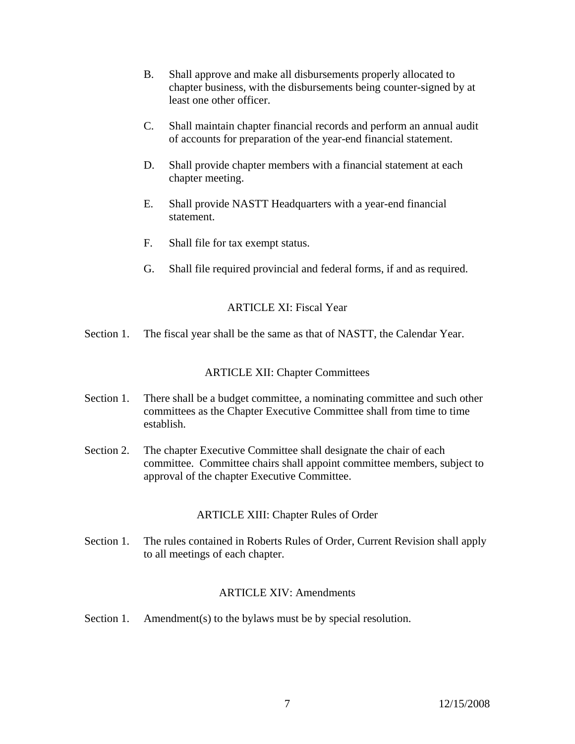- B. Shall approve and make all disbursements properly allocated to chapter business, with the disbursements being counter-signed by at least one other officer.
- C. Shall maintain chapter financial records and perform an annual audit of accounts for preparation of the year-end financial statement.
- D. Shall provide chapter members with a financial statement at each chapter meeting.
- E. Shall provide NASTT Headquarters with a year-end financial statement.
- F. Shall file for tax exempt status.
- G. Shall file required provincial and federal forms, if and as required.

### ARTICLE XI: Fiscal Year

Section 1. The fiscal year shall be the same as that of NASTT, the Calendar Year.

### ARTICLE XII: Chapter Committees

- Section 1. There shall be a budget committee, a nominating committee and such other committees as the Chapter Executive Committee shall from time to time establish.
- Section 2. The chapter Executive Committee shall designate the chair of each committee. Committee chairs shall appoint committee members, subject to approval of the chapter Executive Committee.

# ARTICLE XIII: Chapter Rules of Order

Section 1. The rules contained in Roberts Rules of Order, Current Revision shall apply to all meetings of each chapter.

### ARTICLE XIV: Amendments

Section 1. Amendment(s) to the bylaws must be by special resolution.